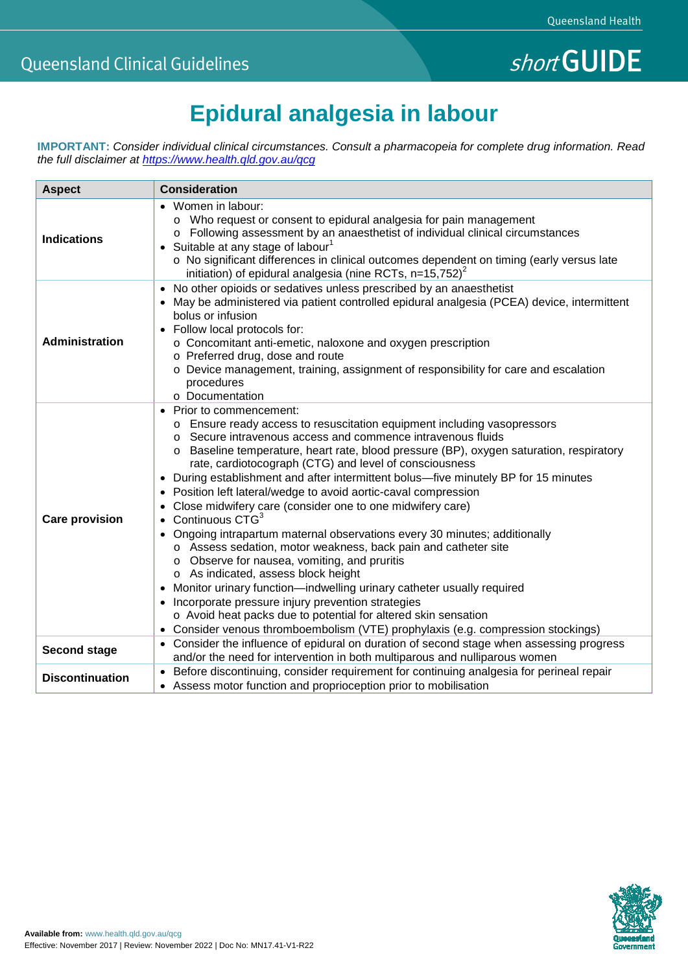# **Epidural analgesia in labour**

**IMPORTANT:** *Consider individual clinical circumstances. Consult a pharmacopeia for complete drug information. Read the full disclaimer at<https://www.health.qld.gov.au/qcg>*

| <b>Aspect</b>          | <b>Consideration</b>                                                                                                                                                                                                                                                                                                                                                                                                                                                                                                                                                                                                                                                                                                                                                                                                                                                                                                                                                                                                                                                                                                |
|------------------------|---------------------------------------------------------------------------------------------------------------------------------------------------------------------------------------------------------------------------------------------------------------------------------------------------------------------------------------------------------------------------------------------------------------------------------------------------------------------------------------------------------------------------------------------------------------------------------------------------------------------------------------------------------------------------------------------------------------------------------------------------------------------------------------------------------------------------------------------------------------------------------------------------------------------------------------------------------------------------------------------------------------------------------------------------------------------------------------------------------------------|
| <b>Indications</b>     | • Women in labour:<br>o Who request or consent to epidural analgesia for pain management<br>o Following assessment by an anaesthetist of individual clinical circumstances<br>• Suitable at any stage of labour <sup>1</sup><br>o No significant differences in clinical outcomes dependent on timing (early versus late<br>initiation) of epidural analgesia (nine RCTs, $n=15,752)^2$                                                                                                                                                                                                                                                                                                                                                                                                                                                                                                                                                                                                                                                                                                                             |
| Administration         | No other opioids or sedatives unless prescribed by an anaesthetist<br>$\bullet$<br>• May be administered via patient controlled epidural analgesia (PCEA) device, intermittent<br>bolus or infusion<br>• Follow local protocols for:<br>o Concomitant anti-emetic, naloxone and oxygen prescription<br>o Preferred drug, dose and route<br>o Device management, training, assignment of responsibility for care and escalation<br>procedures<br>o Documentation                                                                                                                                                                                                                                                                                                                                                                                                                                                                                                                                                                                                                                                     |
| <b>Care provision</b>  | • Prior to commencement:<br>o Ensure ready access to resuscitation equipment including vasopressors<br>○ Secure intravenous access and commence intravenous fluids<br>o Baseline temperature, heart rate, blood pressure (BP), oxygen saturation, respiratory<br>rate, cardiotocograph (CTG) and level of consciousness<br>• During establishment and after intermittent bolus—five minutely BP for 15 minutes<br>• Position left lateral/wedge to avoid aortic-caval compression<br>Close midwifery care (consider one to one midwifery care)<br>Continuous CTG <sup>3</sup><br>$\bullet$<br>Ongoing intrapartum maternal observations every 30 minutes; additionally<br>o Assess sedation, motor weakness, back pain and catheter site<br>o Observe for nausea, vomiting, and pruritis<br>o As indicated, assess block height<br>Monitor urinary function-indwelling urinary catheter usually required<br>Incorporate pressure injury prevention strategies<br>o Avoid heat packs due to potential for altered skin sensation<br>• Consider venous thromboembolism (VTE) prophylaxis (e.g. compression stockings) |
| <b>Second stage</b>    | • Consider the influence of epidural on duration of second stage when assessing progress<br>and/or the need for intervention in both multiparous and nulliparous women                                                                                                                                                                                                                                                                                                                                                                                                                                                                                                                                                                                                                                                                                                                                                                                                                                                                                                                                              |
| <b>Discontinuation</b> | • Before discontinuing, consider requirement for continuing analgesia for perineal repair<br>• Assess motor function and proprioception prior to mobilisation                                                                                                                                                                                                                                                                                                                                                                                                                                                                                                                                                                                                                                                                                                                                                                                                                                                                                                                                                       |